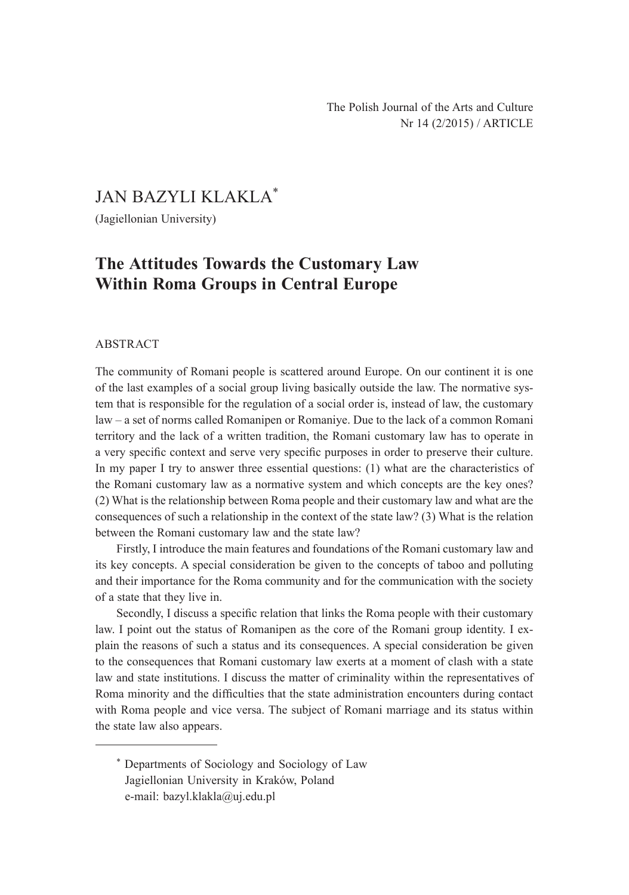## JAN BAZYLI KLAKLA\*

(Jagiellonian University)

# **The Attitudes Towards the Customary Law Within Roma Groups in Central Europe**

#### ABSTRACT

The community of Romani people is scattered around Europe. On our continent it is one of the last examples of a social group living basically outside the law. The normative system that is responsible for the regulation of a social order is, instead of law, the customary law – a set of norms called Romanipen or Romaniye. Due to the lack of a common Romani territory and the lack of a written tradition, the Romani customary law has to operate in a very specific context and serve very specific purposes in order to preserve their culture. In my paper I try to answer three essential questions: (1) what are the characteristics of the Romani customary law as a normative system and which concepts are the key ones? (2) What is the relationship between Roma people and their customary law and what are the consequences of such a relationship in the context of the state law? (3) What is the relation between the Romani customary law and the state law?

Firstly, I introduce the main features and foundations of the Romani customary law and its key concepts. A special consideration be given to the concepts of taboo and polluting and their importance for the Roma community and for the communication with the society of a state that they live in.

Secondly, I discuss a specific relation that links the Roma people with their customary law. I point out the status of Romanipen as the core of the Romani group identity. I explain the reasons of such a status and its consequences. A special consideration be given to the consequences that Romani customary law exerts at a moment of clash with a state law and state institutions. I discuss the matter of criminality within the representatives of Roma minority and the difficulties that the state administration encounters during contact with Roma people and vice versa. The subject of Romani marriage and its status within the state law also appears.

<sup>\*</sup> Departments of Sociology and Sociology of Law Jagiellonian University in Kraków, Poland e-mail: bazyl.klakla@uj.edu.pl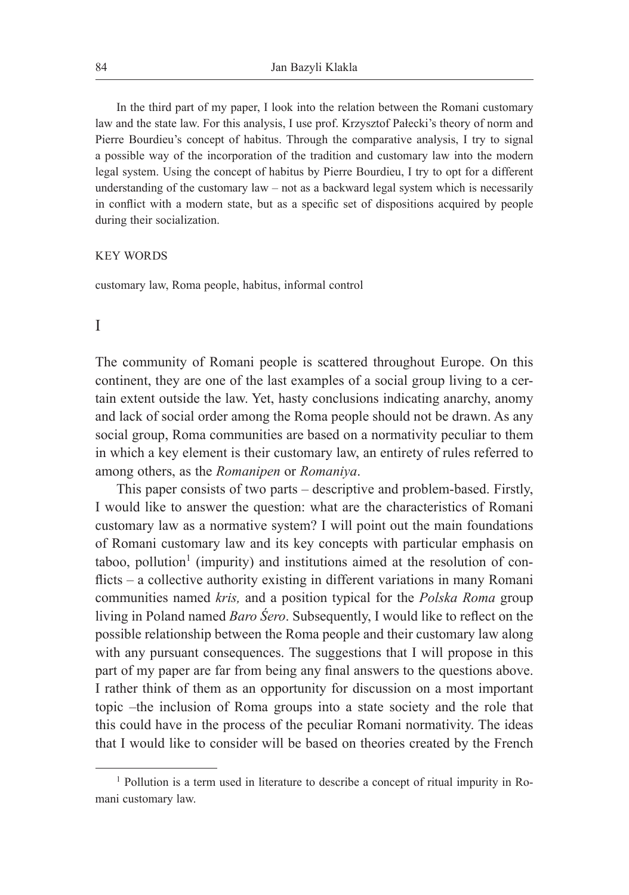In the third part of my paper, I look into the relation between the Romani customary law and the state law. For this analysis, I use prof. Krzysztof Pałecki's theory of norm and Pierre Bourdieu's concept of habitus. Through the comparative analysis, I try to signal a possible way of the incorporation of the tradition and customary law into the modern legal system. Using the concept of habitus by Pierre Bourdieu, I try to opt for a different understanding of the customary law – not as a backward legal system which is necessarily in conflict with a modern state, but as a specific set of dispositions acquired by people during their socialization.

#### KEY WORDS

customary law, Roma people, habitus, informal control

#### I

The community of Romani people is scattered throughout Europe. On this continent, they are one of the last examples of a social group living to a certain extent outside the law. Yet, hasty conclusions indicating anarchy, anomy and lack of social order among the Roma people should not be drawn. As any social group, Roma communities are based on a normativity peculiar to them in which a key element is their customary law, an entirety of rules referred to among others, as the *Romanipen* or *Romaniya*.

This paper consists of two parts – descriptive and problem-based. Firstly, I would like to answer the question: what are the characteristics of Romani customary law as a normative system? I will point out the main foundations of Romani customary law and its key concepts with particular emphasis on taboo, pollution<sup>1</sup> (impurity) and institutions aimed at the resolution of conflicts – a collective authority existing in different variations in many Romani communities named *kris,* and a position typical for the *Polska Roma* group living in Poland named *Baro Śero*. Subsequently, I would like to reflect on the possible relationship between the Roma people and their customary law along with any pursuant consequences. The suggestions that I will propose in this part of my paper are far from being any final answers to the questions above. I rather think of them as an opportunity for discussion on a most important topic –the inclusion of Roma groups into a state society and the role that this could have in the process of the peculiar Romani normativity. The ideas that I would like to consider will be based on theories created by the French

<sup>&</sup>lt;sup>1</sup> Pollution is a term used in literature to describe a concept of ritual impurity in Romani customary law.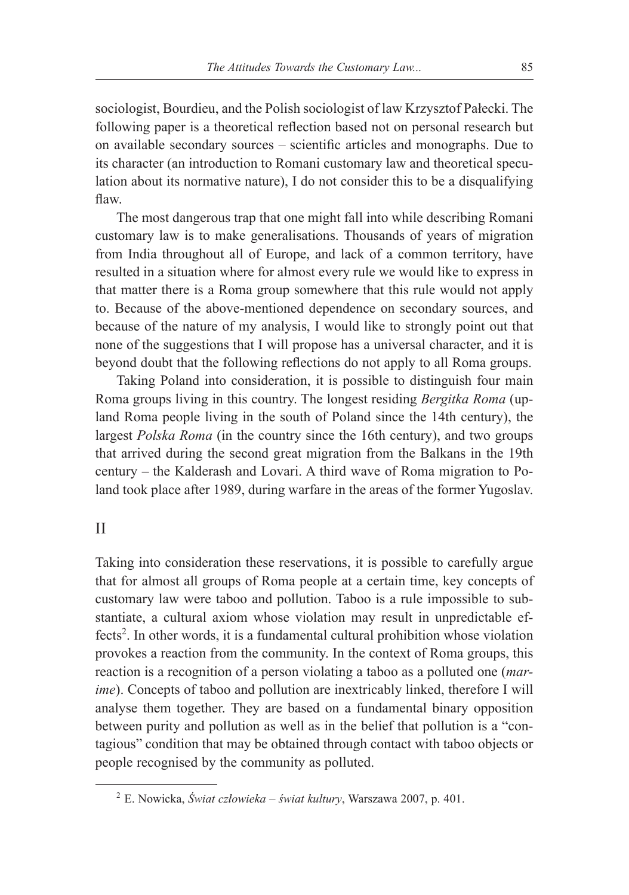sociologist, Bourdieu, and the Polish sociologist of law Krzysztof Pałecki. The following paper is a theoretical reflection based not on personal research but on available secondary sources – scientific articles and monographs. Due to its character (an introduction to Romani customary law and theoretical speculation about its normative nature), I do not consider this to be a disqualifying flaw.

The most dangerous trap that one might fall into while describing Romani customary law is to make generalisations. Thousands of years of migration from India throughout all of Europe, and lack of a common territory, have resulted in a situation where for almost every rule we would like to express in that matter there is a Roma group somewhere that this rule would not apply to. Because of the above-mentioned dependence on secondary sources, and because of the nature of my analysis, I would like to strongly point out that none of the suggestions that I will propose has a universal character, and it is beyond doubt that the following reflections do not apply to all Roma groups.

Taking Poland into consideration, it is possible to distinguish four main Roma groups living in this country. The longest residing *Bergitka Roma* (upland Roma people living in the south of Poland since the 14th century), the largest *Polska Roma* (in the country since the 16th century), and two groups that arrived during the second great migration from the Balkans in the 19th century – the Kalderash and Lovari. A third wave of Roma migration to Poland took place after 1989, during warfare in the areas of the former Yugoslav.

## II

Taking into consideration these reservations, it is possible to carefully argue that for almost all groups of Roma people at a certain time, key concepts of customary law were taboo and pollution. Taboo is a rule impossible to substantiate, a cultural axiom whose violation may result in unpredictable effects<sup>2</sup>. In other words, it is a fundamental cultural prohibition whose violation provokes a reaction from the community. In the context of Roma groups, this reaction is a recognition of a person violating a taboo as a polluted one (*marime*). Concepts of taboo and pollution are inextricably linked, therefore I will analyse them together. They are based on a fundamental binary opposition between purity and pollution as well as in the belief that pollution is a "contagious" condition that may be obtained through contact with taboo objects or people recognised by the community as polluted.

<sup>2</sup> E. Nowicka, *Świat człowieka – świat kultury*, Warszawa 2007, p. 401.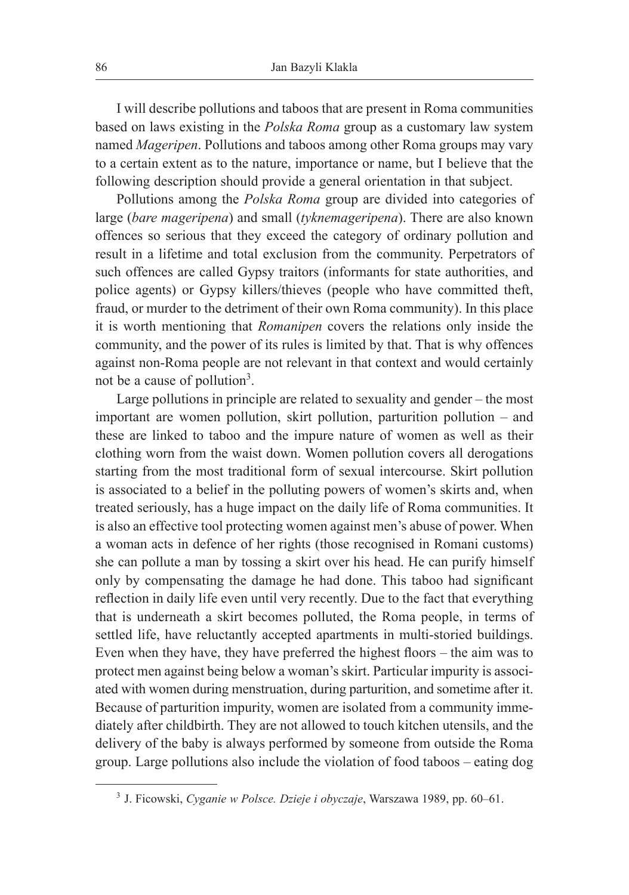I will describe pollutions and taboos that are present in Roma communities based on laws existing in the *Polska Roma* group as a customary law system named *Mageripen*. Pollutions and taboos among other Roma groups may vary to a certain extent as to the nature, importance or name, but I believe that the following description should provide a general orientation in that subject.

Pollutions among the *Polska Roma* group are divided into categories of large (*bare mageripena*) and small (*tyknemageripena*). There are also known offences so serious that they exceed the category of ordinary pollution and result in a lifetime and total exclusion from the community. Perpetrators of such offences are called Gypsy traitors (informants for state authorities, and police agents) or Gypsy killers/thieves (people who have committed theft, fraud, or murder to the detriment of their own Roma community). In this place it is worth mentioning that *Romanipen* covers the relations only inside the community, and the power of its rules is limited by that. That is why offences against non-Roma people are not relevant in that context and would certainly not be a cause of pollution<sup>3</sup>.

Large pollutions in principle are related to sexuality and gender – the most important are women pollution, skirt pollution, parturition pollution – and these are linked to taboo and the impure nature of women as well as their clothing worn from the waist down. Women pollution covers all derogations starting from the most traditional form of sexual intercourse. Skirt pollution is associated to a belief in the polluting powers of women's skirts and, when treated seriously, has a huge impact on the daily life of Roma communities. It is also an effective tool protecting women against men's abuse of power. When a woman acts in defence of her rights (those recognised in Romani customs) she can pollute a man by tossing a skirt over his head. He can purify himself only by compensating the damage he had done. This taboo had significant reflection in daily life even until very recently. Due to the fact that everything that is underneath a skirt becomes polluted, the Roma people, in terms of settled life, have reluctantly accepted apartments in multi-storied buildings. Even when they have, they have preferred the highest floors – the aim was to protect men against being below a woman's skirt. Particular impurity is associated with women during menstruation, during parturition, and sometime after it. Because of parturition impurity, women are isolated from a community immediately after childbirth. They are not allowed to touch kitchen utensils, and the delivery of the baby is always performed by someone from outside the Roma group. Large pollutions also include the violation of food taboos – eating dog

<sup>3</sup> J. Ficowski, *Cyganie w Polsce. Dzieje i obyczaje*, Warszawa 1989, pp. 60–61.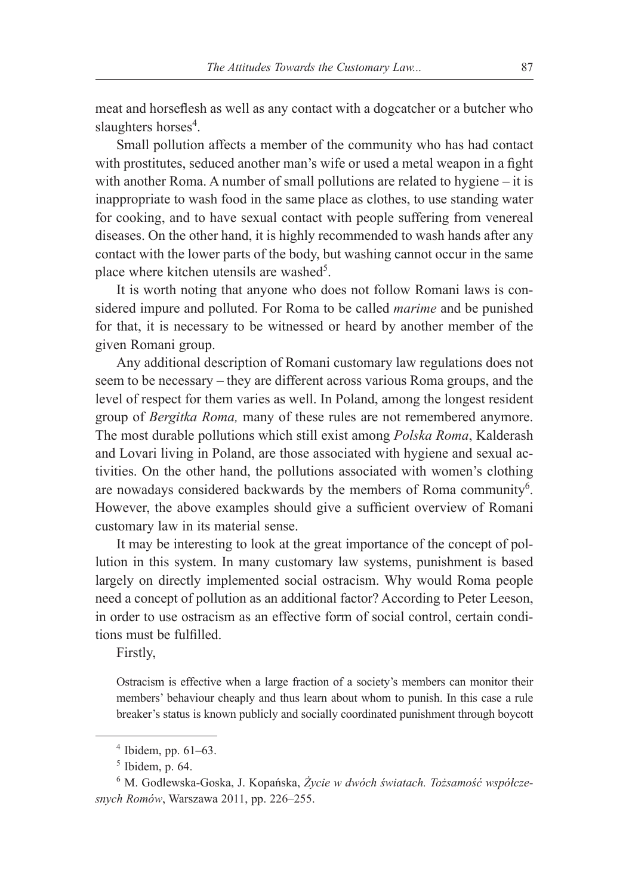meat and horseflesh as well as any contact with a dogcatcher or a butcher who slaughters horses<sup>4</sup>.

Small pollution affects a member of the community who has had contact with prostitutes, seduced another man's wife or used a metal weapon in a fight with another Roma. A number of small pollutions are related to hygiene – it is inappropriate to wash food in the same place as clothes, to use standing water for cooking, and to have sexual contact with people suffering from venereal diseases. On the other hand, it is highly recommended to wash hands after any contact with the lower parts of the body, but washing cannot occur in the same place where kitchen utensils are washed<sup>5</sup>.

It is worth noting that anyone who does not follow Romani laws is considered impure and polluted. For Roma to be called *marime* and be punished for that, it is necessary to be witnessed or heard by another member of the given Romani group.

Any additional description of Romani customary law regulations does not seem to be necessary – they are different across various Roma groups, and the level of respect for them varies as well. In Poland, among the longest resident group of *Bergitka Roma,* many of these rules are not remembered anymore. The most durable pollutions which still exist among *Polska Roma*, Kalderash and Lovari living in Poland, are those associated with hygiene and sexual activities. On the other hand, the pollutions associated with women's clothing are nowadays considered backwards by the members of Roma community<sup>6</sup>. However, the above examples should give a sufficient overview of Romani customary law in its material sense.

It may be interesting to look at the great importance of the concept of pollution in this system. In many customary law systems, punishment is based largely on directly implemented social ostracism. Why would Roma people need a concept of pollution as an additional factor? According to Peter Leeson, in order to use ostracism as an effective form of social control, certain conditions must be fulfilled.

Firstly,

Ostracism is effective when a large fraction of a society's members can monitor their members' behaviour cheaply and thus learn about whom to punish. In this case a rule breaker's status is known publicly and socially coordinated punishment through boycott

 $4$  Ibidem, pp. 61–63.

 $<sup>5</sup>$  Ibidem, p. 64.</sup>

<sup>6</sup> M. Godlewska-Goska, J. Kopańska, *Życie w dwóch światach. Tożsamość współczesnych Romów*, Warszawa 2011, pp. 226–255.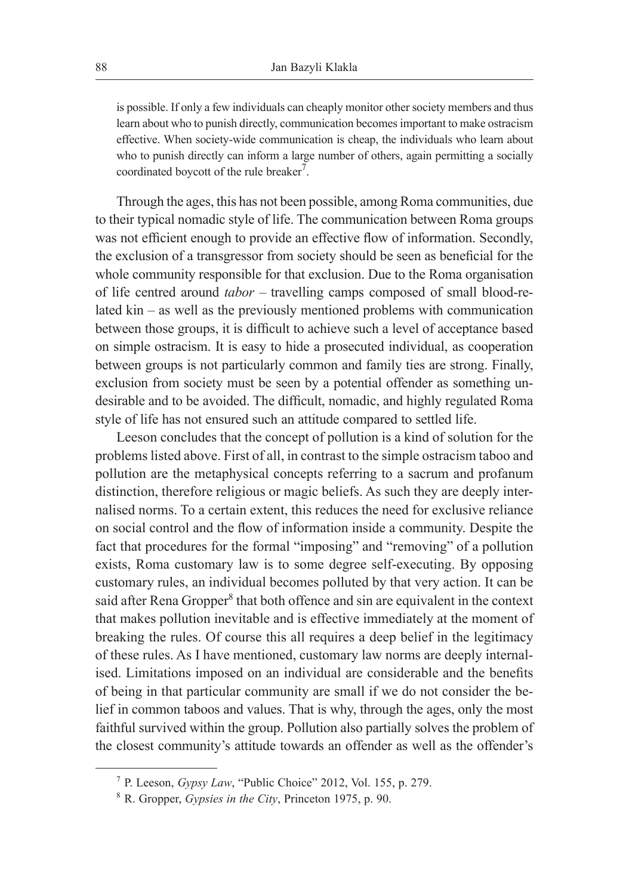is possible. If only a few individuals can cheaply monitor other society members and thus learn about who to punish directly, communication becomes important to make ostracism effective. When society-wide communication is cheap, the individuals who learn about who to punish directly can inform a large number of others, again permitting a socially coordinated boycott of the rule breaker<sup>7</sup>.

Through the ages, this has not been possible, among Roma communities, due to their typical nomadic style of life. The communication between Roma groups was not efficient enough to provide an effective flow of information. Secondly, the exclusion of a transgressor from society should be seen as beneficial for the whole community responsible for that exclusion. Due to the Roma organisation of life centred around *tabor* – travelling camps composed of small blood-related kin – as well as the previously mentioned problems with communication between those groups, it is difficult to achieve such a level of acceptance based on simple ostracism. It is easy to hide a prosecuted individual, as cooperation between groups is not particularly common and family ties are strong. Finally, exclusion from society must be seen by a potential offender as something undesirable and to be avoided. The difficult, nomadic, and highly regulated Roma style of life has not ensured such an attitude compared to settled life.

Leeson concludes that the concept of pollution is a kind of solution for the problems listed above. First of all, in contrast to the simple ostracism taboo and pollution are the metaphysical concepts referring to a sacrum and profanum distinction, therefore religious or magic beliefs. As such they are deeply internalised norms. To a certain extent, this reduces the need for exclusive reliance on social control and the flow of information inside a community. Despite the fact that procedures for the formal "imposing" and "removing" of a pollution exists, Roma customary law is to some degree self-executing. By opposing customary rules, an individual becomes polluted by that very action. It can be said after Rena Gropper<sup>8</sup> that both offence and sin are equivalent in the context that makes pollution inevitable and is effective immediately at the moment of breaking the rules. Of course this all requires a deep belief in the legitimacy of these rules. As I have mentioned, customary law norms are deeply internalised. Limitations imposed on an individual are considerable and the benefits of being in that particular community are small if we do not consider the belief in common taboos and values. That is why, through the ages, only the most faithful survived within the group. Pollution also partially solves the problem of the closest community's attitude towards an offender as well as the offender's

<sup>7</sup> P. Leeson, *Gypsy Law*, "Public Choice" 2012, Vol. 155, p. 279.

<sup>8</sup> R. Gropper, *Gypsies in the City*, Princeton 1975, p. 90.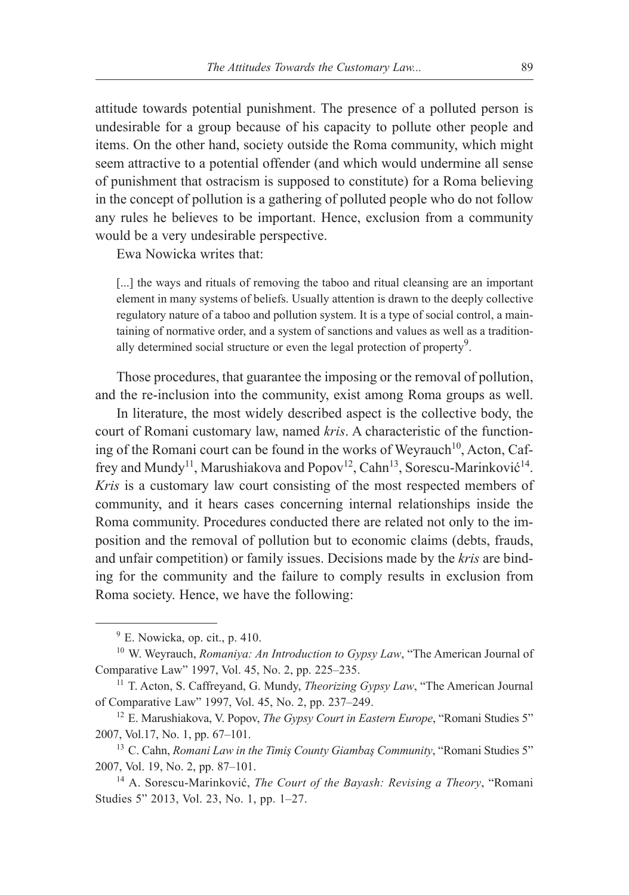attitude towards potential punishment. The presence of a polluted person is undesirable for a group because of his capacity to pollute other people and items. On the other hand, society outside the Roma community, which might seem attractive to a potential offender (and which would undermine all sense of punishment that ostracism is supposed to constitute) for a Roma believing in the concept of pollution is a gathering of polluted people who do not follow any rules he believes to be important. Hence, exclusion from a community would be a very undesirable perspective.

Ewa Nowicka writes that:

[...] the ways and rituals of removing the taboo and ritual cleansing are an important element in many systems of beliefs. Usually attention is drawn to the deeply collective regulatory nature of a taboo and pollution system. It is a type of social control, a maintaining of normative order, and a system of sanctions and values as well as a traditionally determined social structure or even the legal protection of property<sup>9</sup>.

Those procedures, that guarantee the imposing or the removal of pollution, and the re-inclusion into the community, exist among Roma groups as well.

In literature, the most widely described aspect is the collective body, the court of Romani customary law, named *kris*. A characteristic of the functioning of the Romani court can be found in the works of Weyrauch<sup>10</sup>, Acton, Caffrey and Mundy<sup>11</sup>, Marushiakova and Popov<sup>12</sup>, Cahn<sup>13</sup>, Sorescu-Marinković<sup>14</sup>. *Kris* is a customary law court consisting of the most respected members of community, and it hears cases concerning internal relationships inside the Roma community. Procedures conducted there are related not only to the imposition and the removal of pollution but to economic claims (debts, frauds, and unfair competition) or family issues. Decisions made by the *kris* are binding for the community and the failure to comply results in exclusion from Roma society. Hence, we have the following:

 $9$  E. Nowicka, op. cit., p. 410.

<sup>10</sup> W. Weyrauch, *Romaniya: An Introduction to Gypsy Law*, "The American Journal of Comparative Law" 1997, Vol. 45, No. 2, pp. 225–235.

<sup>11</sup> T. Acton, S. Caffreyand, G. Mundy, *Theorizing Gypsy Law*, "The American Journal of Comparative Law" 1997, Vol. 45, No. 2, pp. 237–249.

<sup>12</sup> E. Marushiakova, V. Popov, *The Gypsy Court in Eastern Europe*, "Romani Studies 5" 2007, Vol.17, No. 1, pp. 67–101.

<sup>13</sup> C. Cahn, *Romani Law in the Timiş County Giambaş Community*, "Romani Studies 5" 2007, Vol. 19, No. 2, pp. 87–101.

<sup>14</sup> A. Sorescu-Marinković, *The Court of the Bayash: Revising a Theory*, "Romani Studies 5" 2013, Vol. 23, No. 1, pp. 1–27.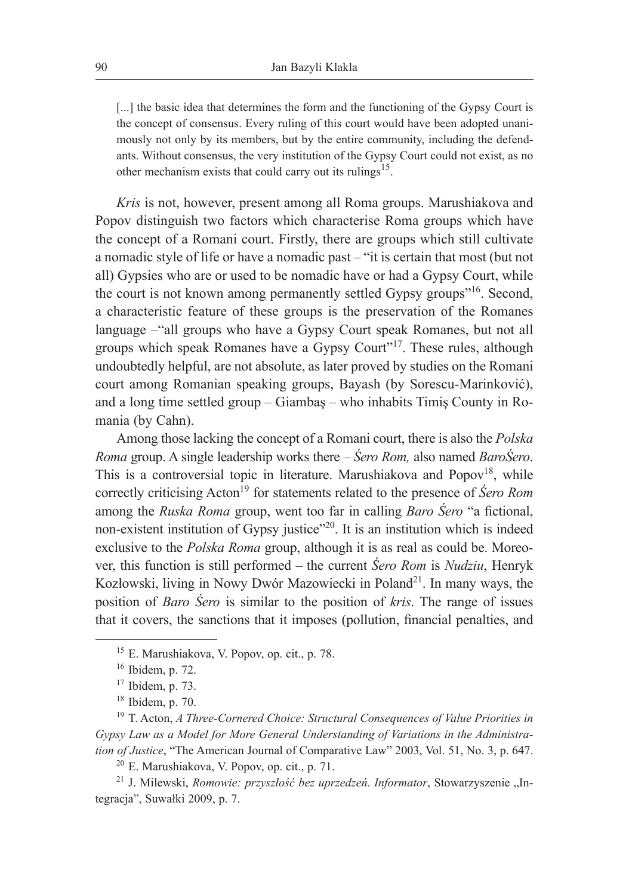[...] the basic idea that determines the form and the functioning of the Gypsy Court is the concept of consensus. Every ruling of this court would have been adopted unanimously not only by its members, but by the entire community, including the defendants. Without consensus, the very institution of the Gypsy Court could not exist, as no other mechanism exists that could carry out its rulings<sup>15</sup>.

*Kris* is not, however, present among all Roma groups. Marushiakova and Popov distinguish two factors which characterise Roma groups which have the concept of a Romani court. Firstly, there are groups which still cultivate a nomadic style of life or have a nomadic past – "it is certain that most (but not all) Gypsies who are or used to be nomadic have or had a Gypsy Court, while the court is not known among permanently settled Gypsy groups"16. Second, a characteristic feature of these groups is the preservation of the Romanes language –"all groups who have a Gypsy Court speak Romanes, but not all groups which speak Romanes have a Gypsy Court"17. These rules, although undoubtedly helpful, are not absolute, as later proved by studies on the Romani court among Romanian speaking groups, Bayash (by Sorescu-Marinković), and a long time settled group – Giambaş – who inhabits Timiş County in Romania (by Cahn).

Among those lacking the concept of a Romani court, there is also the *Polska Roma* group. A single leadership works there – *Śero Rom,* also named *BaroŚero*. This is a controversial topic in literature. Marushiakova and  $Popov<sup>18</sup>$ , while correctly criticising Acton<sup>19</sup> for statements related to the presence of *Śero Rom* among the *Ruska Roma* group, went too far in calling *Baro Śero* "a fictional, non-existent institution of Gypsy justice"<sup>20</sup>. It is an institution which is indeed exclusive to the *Polska Roma* group, although it is as real as could be. Moreover, this function is still performed – the current *Śero Rom* is *Nudziu*, Henryk Kozłowski, living in Nowy Dwór Mazowiecki in Poland<sup>21</sup>. In many ways, the position of *Baro Śero* is similar to the position of *kris*. The range of issues that it covers, the sanctions that it imposes (pollution, financial penalties, and

<sup>15</sup> E. Marushiakova, V. Popov, op. cit., p. 78.

<sup>16</sup> Ibidem, p. 72.

 $17$  Ibidem, p. 73.

<sup>18</sup> Ibidem, p. 70.

<sup>19</sup> T. Acton, *A Three-Cornered Choice: Structural Consequences of Value Priorities in Gypsy Law as a Model for More General Understanding of Variations in the Administration of Justice*, "The American Journal of Comparative Law" 2003, Vol. 51, No. 3, p. 647.

<sup>20</sup> E. Marushiakova, V. Popov, op. cit., p. 71.

<sup>&</sup>lt;sup>21</sup> J. Milewski, *Romowie: przyszłość bez uprzedzeń. Informator*, Stowarzyszenie "Integracja", Suwałki 2009, p. 7.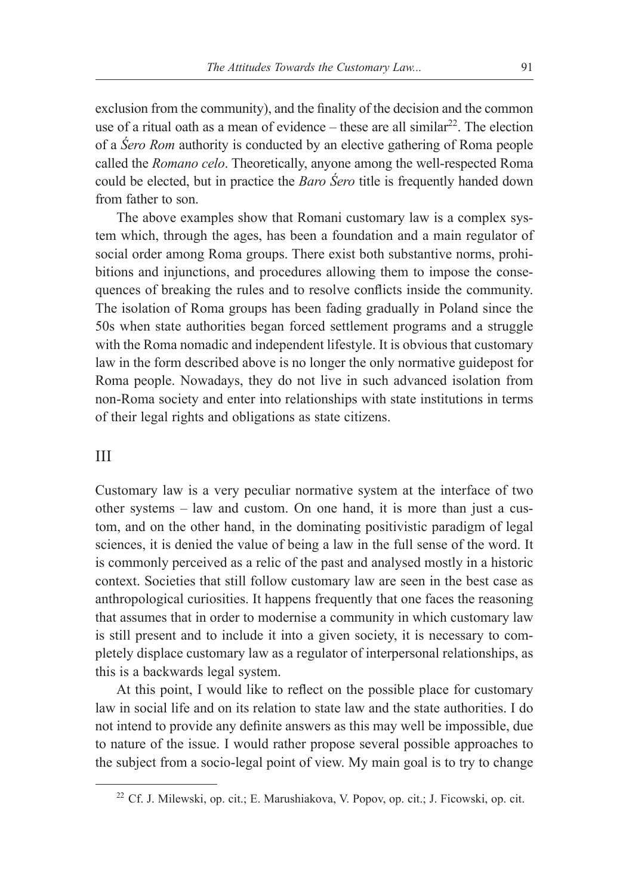exclusion from the community), and the finality of the decision and the common use of a ritual oath as a mean of evidence – these are all similar $^{22}$ . The election of a *Śero Rom* authority is conducted by an elective gathering of Roma people called the *Romano celo*. Theoretically, anyone among the well-respected Roma could be elected, but in practice the *Baro Śero* title is frequently handed down from father to son.

The above examples show that Romani customary law is a complex system which, through the ages, has been a foundation and a main regulator of social order among Roma groups. There exist both substantive norms, prohibitions and injunctions, and procedures allowing them to impose the consequences of breaking the rules and to resolve conflicts inside the community. The isolation of Roma groups has been fading gradually in Poland since the 50s when state authorities began forced settlement programs and a struggle with the Roma nomadic and independent lifestyle. It is obvious that customary law in the form described above is no longer the only normative guidepost for Roma people. Nowadays, they do not live in such advanced isolation from non-Roma society and enter into relationships with state institutions in terms of their legal rights and obligations as state citizens.

## III

Customary law is a very peculiar normative system at the interface of two other systems – law and custom. On one hand, it is more than just a custom, and on the other hand, in the dominating positivistic paradigm of legal sciences, it is denied the value of being a law in the full sense of the word. It is commonly perceived as a relic of the past and analysed mostly in a historic context. Societies that still follow customary law are seen in the best case as anthropological curiosities. It happens frequently that one faces the reasoning that assumes that in order to modernise a community in which customary law is still present and to include it into a given society, it is necessary to completely displace customary law as a regulator of interpersonal relationships, as this is a backwards legal system.

At this point, I would like to reflect on the possible place for customary law in social life and on its relation to state law and the state authorities. I do not intend to provide any definite answers as this may well be impossible, due to nature of the issue. I would rather propose several possible approaches to the subject from a socio-legal point of view. My main goal is to try to change

<sup>22</sup> Cf. J. Milewski, op. cit.; E. Marushiakova, V. Popov, op. cit.; J. Ficowski, op. cit.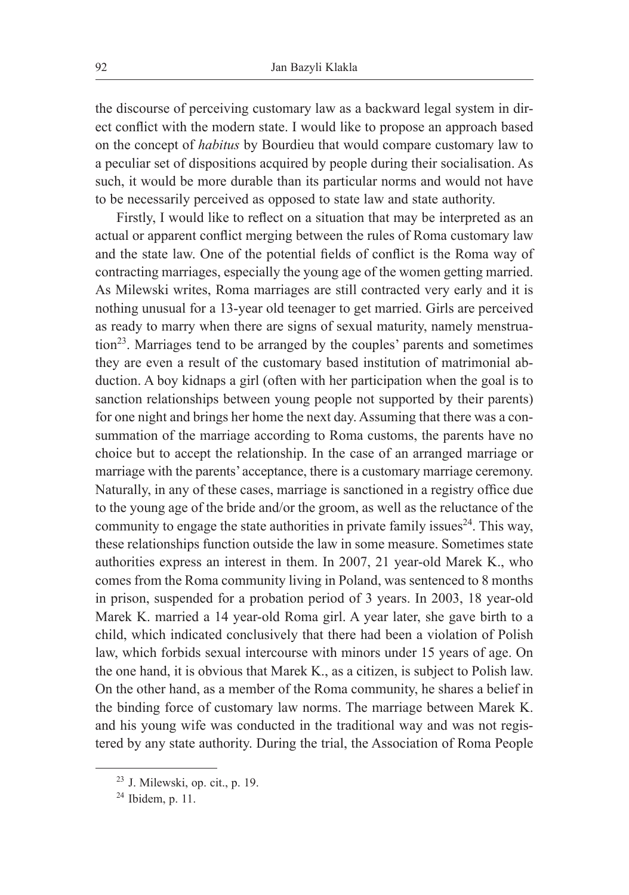the discourse of perceiving customary law as a backward legal system in direct conflict with the modern state. I would like to propose an approach based on the concept of *habitus* by Bourdieu that would compare customary law to a peculiar set of dispositions acquired by people during their socialisation. As such, it would be more durable than its particular norms and would not have to be necessarily perceived as opposed to state law and state authority.

Firstly, I would like to reflect on a situation that may be interpreted as an actual or apparent conflict merging between the rules of Roma customary law and the state law. One of the potential fields of conflict is the Roma way of contracting marriages, especially the young age of the women getting married. As Milewski writes, Roma marriages are still contracted very early and it is nothing unusual for a 13-year old teenager to get married. Girls are perceived as ready to marry when there are signs of sexual maturity, namely menstruation23. Marriages tend to be arranged by the couples' parents and sometimes they are even a result of the customary based institution of matrimonial abduction. A boy kidnaps a girl (often with her participation when the goal is to sanction relationships between young people not supported by their parents) for one night and brings her home the next day. Assuming that there was a consummation of the marriage according to Roma customs, the parents have no choice but to accept the relationship. In the case of an arranged marriage or marriage with the parents' acceptance, there is a customary marriage ceremony. Naturally, in any of these cases, marriage is sanctioned in a registry office due to the young age of the bride and/or the groom, as well as the reluctance of the community to engage the state authorities in private family issues  $24$ . This way, these relationships function outside the law in some measure. Sometimes state authorities express an interest in them. In 2007, 21 year-old Marek K., who comes from the Roma community living in Poland, was sentenced to 8 months in prison, suspended for a probation period of 3 years. In 2003, 18 year-old Marek K. married a 14 year-old Roma girl. A year later, she gave birth to a child, which indicated conclusively that there had been a violation of Polish law, which forbids sexual intercourse with minors under 15 years of age. On the one hand, it is obvious that Marek K., as a citizen, is subject to Polish law. On the other hand, as a member of the Roma community, he shares a belief in the binding force of customary law norms. The marriage between Marek K. and his young wife was conducted in the traditional way and was not registered by any state authority. During the trial, the Association of Roma People

<sup>23</sup> J. Milewski, op. cit., p. 19.

 $24$  Ibidem, p. 11.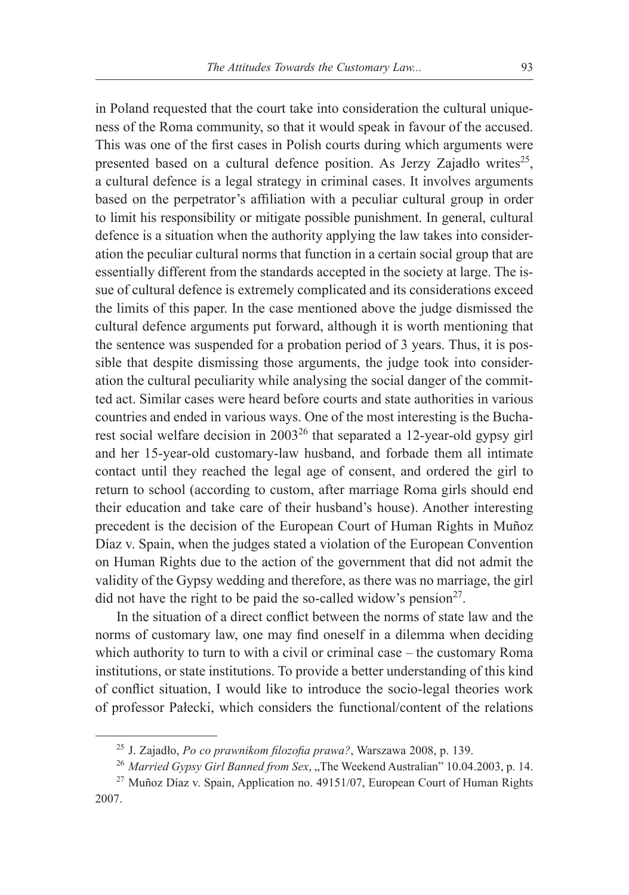in Poland requested that the court take into consideration the cultural uniqueness of the Roma community, so that it would speak in favour of the accused. This was one of the first cases in Polish courts during which arguments were presented based on a cultural defence position. As Jerzy Zajadło writes<sup>25</sup>, a cultural defence is a legal strategy in criminal cases. It involves arguments based on the perpetrator's affiliation with a peculiar cultural group in order to limit his responsibility or mitigate possible punishment. In general, cultural defence is a situation when the authority applying the law takes into consideration the peculiar cultural norms that function in a certain social group that are essentially different from the standards accepted in the society at large. The issue of cultural defence is extremely complicated and its considerations exceed the limits of this paper. In the case mentioned above the judge dismissed the cultural defence arguments put forward, although it is worth mentioning that the sentence was suspended for a probation period of 3 years. Thus, it is possible that despite dismissing those arguments, the judge took into consideration the cultural peculiarity while analysing the social danger of the committed act. Similar cases were heard before courts and state authorities in various countries and ended in various ways. One of the most interesting is the Bucharest social welfare decision in 200326 that separated a 12-year-old gypsy girl and her 15-year-old customary-law husband, and forbade them all intimate contact until they reached the legal age of consent, and ordered the girl to return to school (according to custom, after marriage Roma girls should end their education and take care of their husband's house). Another interesting precedent is the decision of the European Court of Human Rights in Muñoz Díaz v. Spain, when the judges stated a violation of the European Convention on Human Rights due to the action of the government that did not admit the validity of the Gypsy wedding and therefore, as there was no marriage, the girl did not have the right to be paid the so-called widow's pension<sup>27</sup>.

In the situation of a direct conflict between the norms of state law and the norms of customary law, one may find oneself in a dilemma when deciding which authority to turn to with a civil or criminal case – the customary Roma institutions, or state institutions. To provide a better understanding of this kind of conflict situation, I would like to introduce the socio-legal theories work of professor Pałecki, which considers the functional/content of the relations

<sup>25</sup> J. Zajadło, *Po co prawnikom filozofia prawa?*, Warszawa 2008, p. 139.

<sup>&</sup>lt;sup>26</sup> *Married Gypsy Girl Banned from Sex*, ., The Weekend Australian" 10.04.2003, p. 14.

 $27$  Muñoz Díaz v. Spain, Application no. 49151/07, European Court of Human Rights 2007.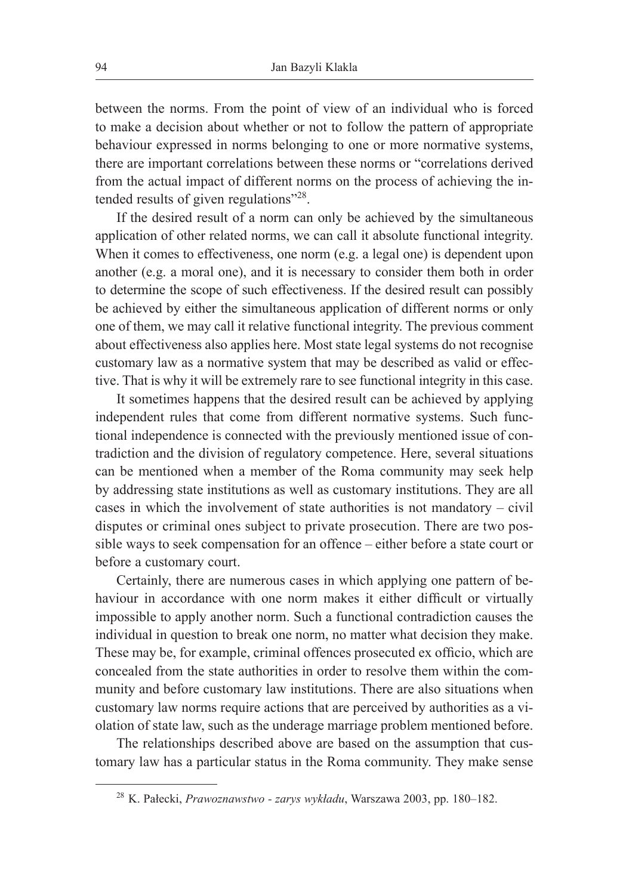between the norms. From the point of view of an individual who is forced to make a decision about whether or not to follow the pattern of appropriate behaviour expressed in norms belonging to one or more normative systems, there are important correlations between these norms or "correlations derived from the actual impact of different norms on the process of achieving the intended results of given regulations"<sup>28</sup>.

If the desired result of a norm can only be achieved by the simultaneous application of other related norms, we can call it absolute functional integrity. When it comes to effectiveness, one norm (e.g. a legal one) is dependent upon another (e.g. a moral one), and it is necessary to consider them both in order to determine the scope of such effectiveness. If the desired result can possibly be achieved by either the simultaneous application of different norms or only one of them, we may call it relative functional integrity. The previous comment about effectiveness also applies here. Most state legal systems do not recognise customary law as a normative system that may be described as valid or effective. That is why it will be extremely rare to see functional integrity in this case.

It sometimes happens that the desired result can be achieved by applying independent rules that come from different normative systems. Such functional independence is connected with the previously mentioned issue of contradiction and the division of regulatory competence. Here, several situations can be mentioned when a member of the Roma community may seek help by addressing state institutions as well as customary institutions. They are all cases in which the involvement of state authorities is not mandatory – civil disputes or criminal ones subject to private prosecution. There are two possible ways to seek compensation for an offence – either before a state court or before a customary court.

Certainly, there are numerous cases in which applying one pattern of behaviour in accordance with one norm makes it either difficult or virtually impossible to apply another norm. Such a functional contradiction causes the individual in question to break one norm, no matter what decision they make. These may be, for example, criminal offences prosecuted ex officio, which are concealed from the state authorities in order to resolve them within the community and before customary law institutions. There are also situations when customary law norms require actions that are perceived by authorities as a violation of state law, such as the underage marriage problem mentioned before.

The relationships described above are based on the assumption that customary law has a particular status in the Roma community. They make sense

<sup>28</sup> K. Pałecki, *Prawoznawstwo - zarys wykładu*, Warszawa 2003, pp. 180–182.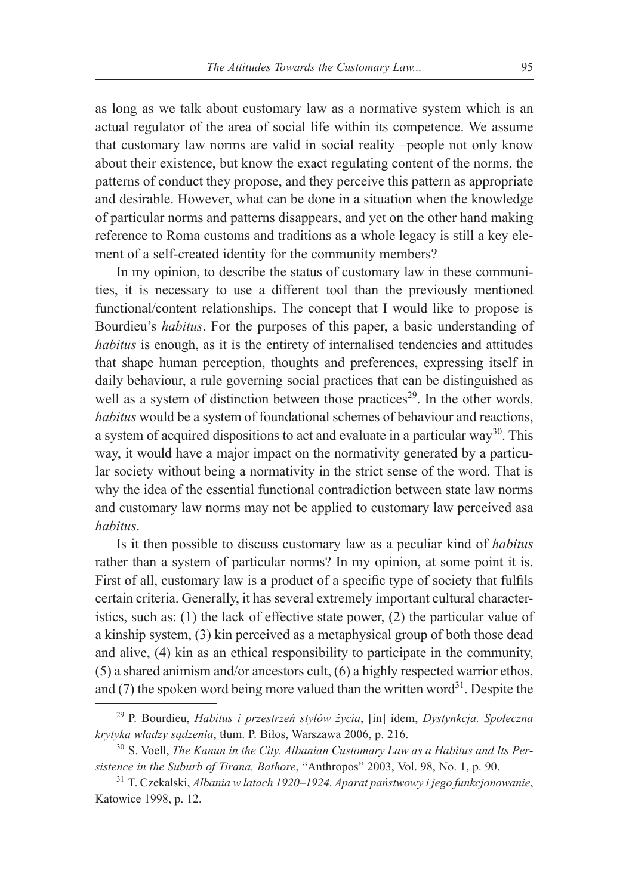as long as we talk about customary law as a normative system which is an actual regulator of the area of social life within its competence. We assume that customary law norms are valid in social reality –people not only know about their existence, but know the exact regulating content of the norms, the patterns of conduct they propose, and they perceive this pattern as appropriate and desirable. However, what can be done in a situation when the knowledge of particular norms and patterns disappears, and yet on the other hand making reference to Roma customs and traditions as a whole legacy is still a key element of a self-created identity for the community members?

In my opinion, to describe the status of customary law in these communities, it is necessary to use a different tool than the previously mentioned functional/content relationships. The concept that I would like to propose is Bourdieu's *habitus*. For the purposes of this paper, a basic understanding of *habitus* is enough, as it is the entirety of internalised tendencies and attitudes that shape human perception, thoughts and preferences, expressing itself in daily behaviour, a rule governing social practices that can be distinguished as well as a system of distinction between those practices<sup>29</sup>. In the other words, *habitus* would be a system of foundational schemes of behaviour and reactions, a system of acquired dispositions to act and evaluate in a particular way<sup>30</sup>. This way, it would have a major impact on the normativity generated by a particular society without being a normativity in the strict sense of the word. That is why the idea of the essential functional contradiction between state law norms and customary law norms may not be applied to customary law perceived asa *habitus*.

Is it then possible to discuss customary law as a peculiar kind of *habitus*  rather than a system of particular norms? In my opinion, at some point it is. First of all, customary law is a product of a specific type of society that fulfils certain criteria. Generally, it has several extremely important cultural characteristics, such as: (1) the lack of effective state power, (2) the particular value of a kinship system, (3) kin perceived as a metaphysical group of both those dead and alive, (4) kin as an ethical responsibility to participate in the community, (5) a shared animism and/or ancestors cult, (6) a highly respected warrior ethos, and (7) the spoken word being more valued than the written word $3<sup>1</sup>$ . Despite the

<sup>29</sup> P. Bourdieu, *Habitus i przestrzeń stylów życia*, [in] idem, *Dystynkcja. Społeczna krytyka władzy sądzenia*, tłum. P. Biłos, Warszawa 2006, p. 216.

<sup>30</sup> S. Voell, *The Kanun in the City. Albanian Customary Law as a Habitus and Its Persistence in the Suburb of Tirana, Bathore*, "Anthropos" 2003, Vol. 98, No. 1, p. 90.

<sup>31</sup> T. Czekalski, *Albania w latach 1920–1924. Aparat państwowy i jego funkcjonowanie*, Katowice 1998, p. 12.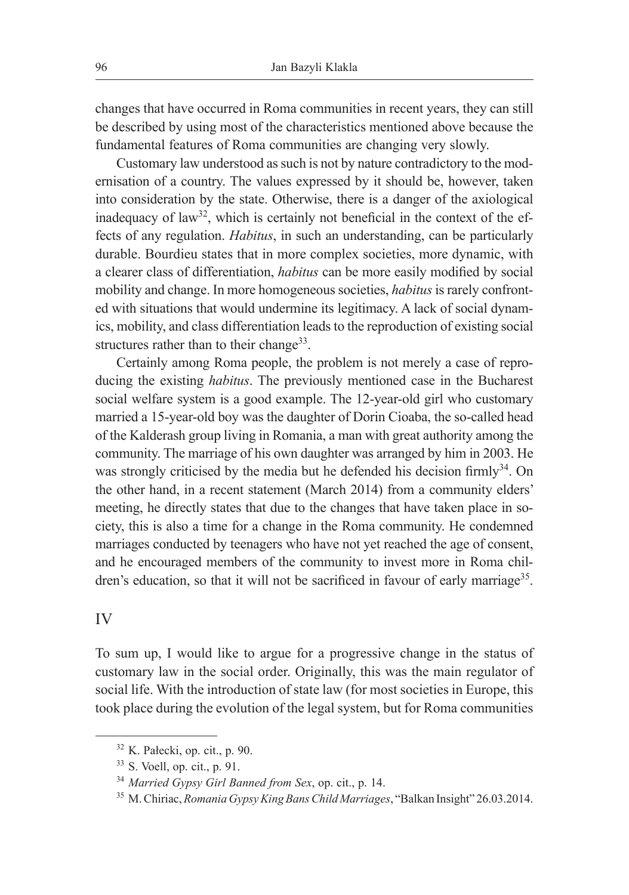changes that have occurred in Roma communities in recent years, they can still be described by using most of the characteristics mentioned above because the fundamental features of Roma communities are changing very slowly.

Customary law understood as such is not by nature contradictory to the modernisation of a country. The values expressed by it should be, however, taken into consideration by the state. Otherwise, there is a danger of the axiological inadequacy of law<sup>32</sup>, which is certainly not beneficial in the context of the effects of any regulation. *Habitus*, in such an understanding, can be particularly durable. Bourdieu states that in more complex societies, more dynamic, with a clearer class of differentiation, *habitus* can be more easily modified by social mobility and change. In more homogeneous societies, *habitus* is rarely confronted with situations that would undermine its legitimacy. A lack of social dynamics, mobility, and class differentiation leads to the reproduction of existing social structures rather than to their change<sup>33</sup>.

Certainly among Roma people, the problem is not merely a case of reproducing the existing *habitus*. The previously mentioned case in the Bucharest social welfare system is a good example. The 12-year-old girl who customary married a 15-year-old boy was the daughter of Dorin Cioaba, the so-called head of the Kalderash group living in Romania, a man with great authority among the community. The marriage of his own daughter was arranged by him in 2003. He was strongly criticised by the media but he defended his decision firmly<sup>34</sup>. On the other hand, in a recent statement (March 2014) from a community elders' meeting, he directly states that due to the changes that have taken place in society, this is also a time for a change in the Roma community. He condemned marriages conducted by teenagers who have not yet reached the age of consent, and he encouraged members of the community to invest more in Roma children's education, so that it will not be sacrificed in favour of early marriage<sup>35</sup>.

## IV

To sum up, I would like to argue for a progressive change in the status of customary law in the social order. Originally, this was the main regulator of social life. With the introduction of state law (for most societies in Europe, this took place during the evolution of the legal system, but for Roma communities

<sup>32</sup> K. Pałecki, op. cit., p. 90.

<sup>33</sup> S. Voell, op. cit., p. 91.

<sup>34</sup> *Married Gypsy Girl Banned from Sex*, op. cit., p. 14.

<sup>35</sup> M. Chiriac, *Romania Gypsy King Bans Child Marriages*, "Balkan Insight" 26.03.2014.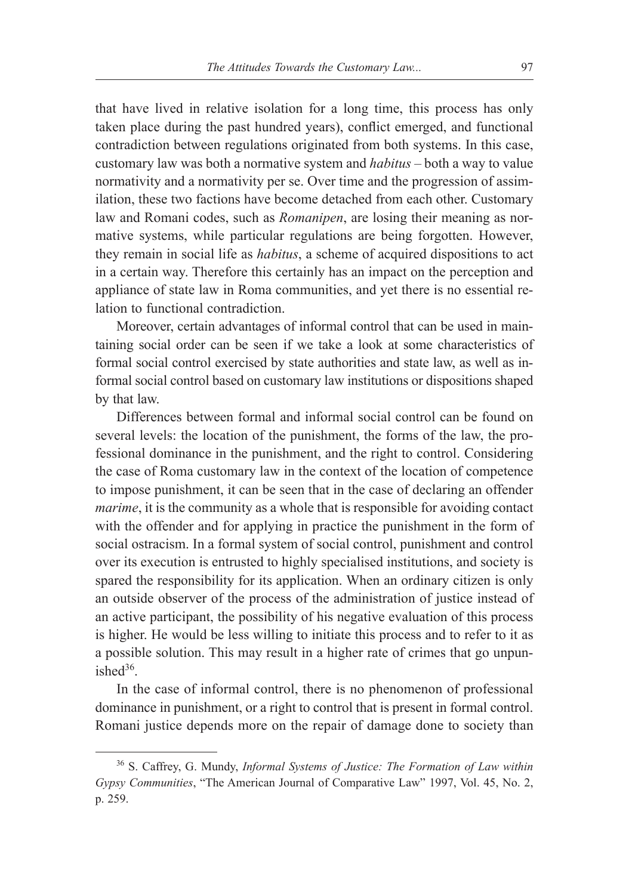that have lived in relative isolation for a long time, this process has only taken place during the past hundred years), conflict emerged, and functional contradiction between regulations originated from both systems. In this case, customary law was both a normative system and *habitus* – both a way to value normativity and a normativity per se. Over time and the progression of assimilation, these two factions have become detached from each other. Customary law and Romani codes, such as *Romanipen*, are losing their meaning as normative systems, while particular regulations are being forgotten. However, they remain in social life as *habitus*, a scheme of acquired dispositions to act in a certain way. Therefore this certainly has an impact on the perception and appliance of state law in Roma communities, and yet there is no essential relation to functional contradiction.

Moreover, certain advantages of informal control that can be used in maintaining social order can be seen if we take a look at some characteristics of formal social control exercised by state authorities and state law, as well as informal social control based on customary law institutions or dispositions shaped by that law.

Differences between formal and informal social control can be found on several levels: the location of the punishment, the forms of the law, the professional dominance in the punishment, and the right to control. Considering the case of Roma customary law in the context of the location of competence to impose punishment, it can be seen that in the case of declaring an offender *marime*, it is the community as a whole that is responsible for avoiding contact with the offender and for applying in practice the punishment in the form of social ostracism. In a formal system of social control, punishment and control over its execution is entrusted to highly specialised institutions, and society is spared the responsibility for its application. When an ordinary citizen is only an outside observer of the process of the administration of justice instead of an active participant, the possibility of his negative evaluation of this process is higher. He would be less willing to initiate this process and to refer to it as a possible solution. This may result in a higher rate of crimes that go unpunished $36$ .

In the case of informal control, there is no phenomenon of professional dominance in punishment, or a right to control that is present in formal control. Romani justice depends more on the repair of damage done to society than

<sup>36</sup> S. Caffrey, G. Mundy, *Informal Systems of Justice: The Formation of Law within Gypsy Communities*, "The American Journal of Comparative Law" 1997, Vol. 45, No. 2, p. 259.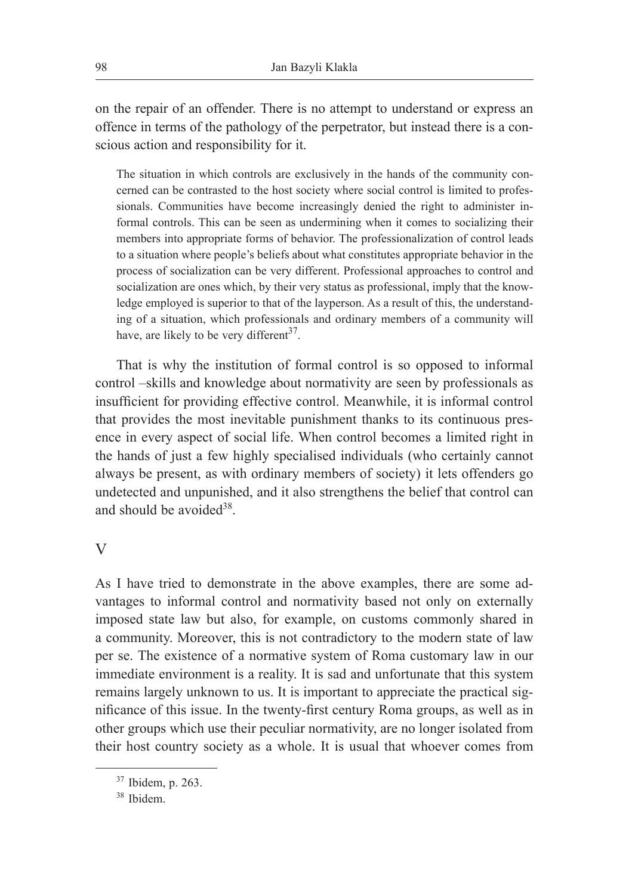on the repair of an offender. There is no attempt to understand or express an offence in terms of the pathology of the perpetrator, but instead there is a conscious action and responsibility for it.

The situation in which controls are exclusively in the hands of the community concerned can be contrasted to the host society where social control is limited to professionals. Communities have become increasingly denied the right to administer informal controls. This can be seen as undermining when it comes to socializing their members into appropriate forms of behavior. The professionalization of control leads to a situation where people's beliefs about what constitutes appropriate behavior in the process of socialization can be very different. Professional approaches to control and socialization are ones which, by their very status as professional, imply that the knowledge employed is superior to that of the layperson. As a result of this, the understanding of a situation, which professionals and ordinary members of a community will have, are likely to be very different<sup>37</sup>.

That is why the institution of formal control is so opposed to informal control –skills and knowledge about normativity are seen by professionals as insufficient for providing effective control. Meanwhile, it is informal control that provides the most inevitable punishment thanks to its continuous presence in every aspect of social life. When control becomes a limited right in the hands of just a few highly specialised individuals (who certainly cannot always be present, as with ordinary members of society) it lets offenders go undetected and unpunished, and it also strengthens the belief that control can and should be avoided  $38$ .

## V

As I have tried to demonstrate in the above examples, there are some advantages to informal control and normativity based not only on externally imposed state law but also, for example, on customs commonly shared in a community. Moreover, this is not contradictory to the modern state of law per se. The existence of a normative system of Roma customary law in our immediate environment is a reality. It is sad and unfortunate that this system remains largely unknown to us. It is important to appreciate the practical significance of this issue. In the twenty-first century Roma groups, as well as in other groups which use their peculiar normativity, are no longer isolated from their host country society as a whole. It is usual that whoever comes from

<sup>37</sup> Ibidem, p. 263.

<sup>38</sup> Ibidem.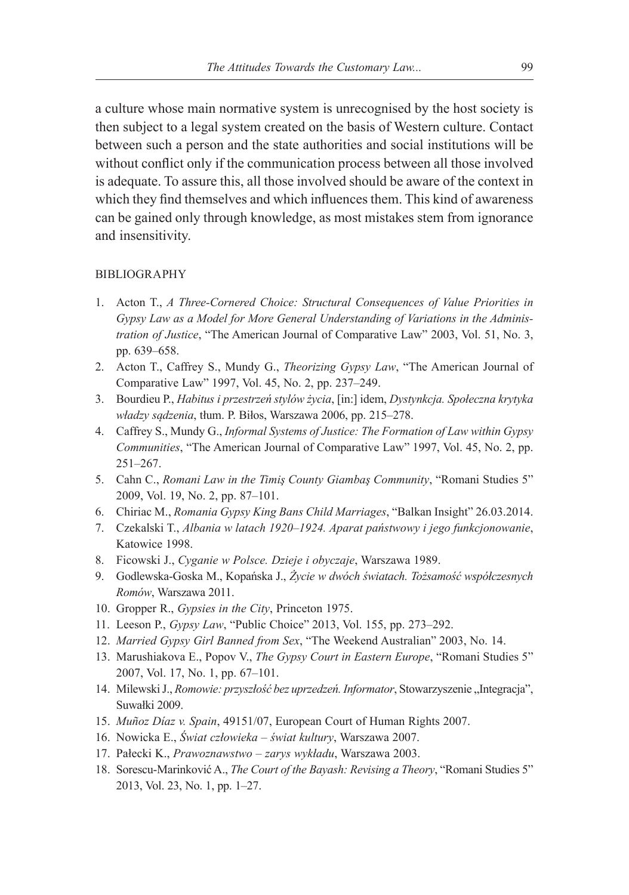a culture whose main normative system is unrecognised by the host society is then subject to a legal system created on the basis of Western culture. Contact between such a person and the state authorities and social institutions will be without conflict only if the communication process between all those involved is adequate. To assure this, all those involved should be aware of the context in which they find themselves and which influences them. This kind of awareness can be gained only through knowledge, as most mistakes stem from ignorance and insensitivity.

#### BIBLIOGRAPHY

- 1. Acton T., *A Three-Cornered Choice: Structural Consequences of Value Priorities in Gypsy Law as a Model for More General Understanding of Variations in the Administration of Justice*, "The American Journal of Comparative Law" 2003, Vol. 51, No. 3, pp. 639–658.
- 2. Acton T., Caffrey S., Mundy G., *Theorizing Gypsy Law*, "The American Journal of Comparative Law" 1997, Vol. 45, No. 2, pp. 237–249.
- 3. Bourdieu P., *Habitus i przestrzeń stylów życia*, [in:] idem, *Dystynkcja. Społeczna krytyka władzy sądzenia*, tłum. P. Biłos, Warszawa 2006, pp. 215–278.
- 4. Caffrey S., Mundy G., *Informal Systems of Justice: The Formation of Law within Gypsy Communities*, "The American Journal of Comparative Law" 1997, Vol. 45, No. 2, pp. 251–267.
- 5. Cahn C., *Romani Law in the Timiş County Giambaş Community*, "Romani Studies 5" 2009, Vol. 19, No. 2, pp. 87–101.
- 6. Chiriac M., *Romania Gypsy King Bans Child Marriages*, "Balkan Insight" 26.03.2014.
- 7. Czekalski T., *Albania w latach 1920–1924. Aparat państwowy i jego funkcjonowanie*, Katowice 1998.
- 8. Ficowski J., *Cyganie w Polsce. Dzieje i obyczaje*, Warszawa 1989.
- 9. Godlewska-Goska M., Kopańska J., *Życie w dwóch światach. Tożsamość współczesnych Romów*, Warszawa 2011.
- 10. Gropper R., *Gypsies in the City*, Princeton 1975.
- 11. Leeson P., *Gypsy Law*, "Public Choice" 2013, Vol. 155, pp. 273–292.
- 12. *Married Gypsy Girl Banned from Sex*, "The Weekend Australian" 2003, No. 14.
- 13. Marushiakova E., Popov V., *The Gypsy Court in Eastern Europe*, "Romani Studies 5" 2007, Vol. 17, No. 1, pp. 67–101.
- 14. Milewski J., *Romowie: przyszłość bez uprzedzeń. Informator*, Stowarzyszenie "Integracja", Suwałki 2009.
- 15. *Muñoz Díaz v. Spain*, 49151/07, European Court of Human Rights 2007.
- 16. Nowicka E., *Świat człowieka świat kultury*, Warszawa 2007.
- 17. Pałecki K., *Prawoznawstwo zarys wykładu*, Warszawa 2003.
- 18. Sorescu-Marinković A., *The Court of the Bayash: Revising a Theory*, "Romani Studies 5" 2013, Vol. 23, No. 1, pp. 1–27.